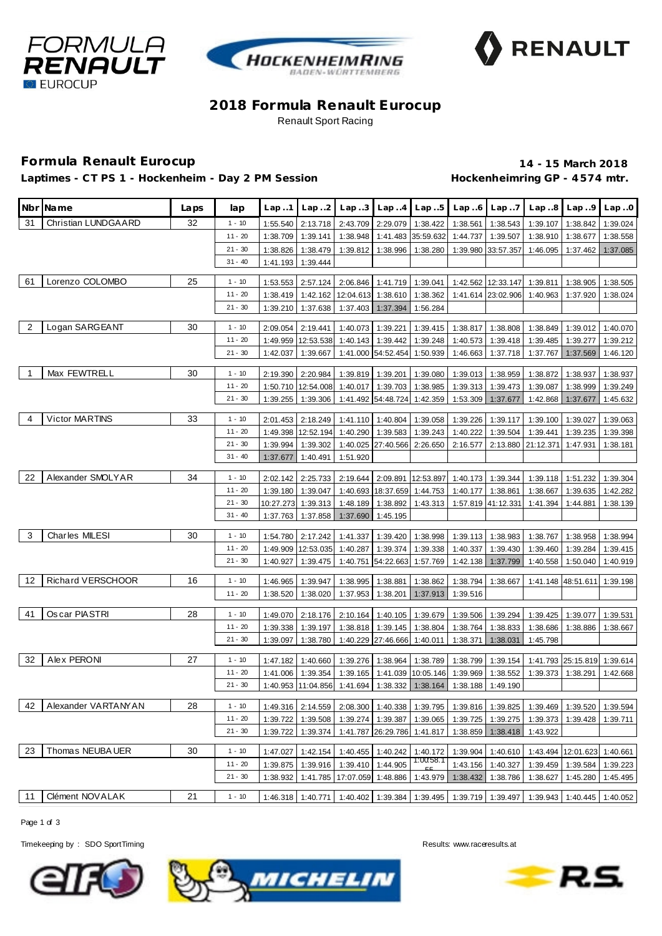





## **2018 Formula Renault Eurocup** Renault Sport Racing

## **Formula Renault Eurocup 14 - 15 March 2018**

Laptimes - CT PS 1 - Hockenheim - Day 2 PM Session **Hockenheimring GP** - 4574 mtr.

|                | Nbr Name              | Laps | lap                   | Lap.1                | Lap.2                          |                                         |                                        | $Lap3$ $Lap4$ $Lap5$           | Lap.6                | Lap.7                |                                     | $Lap.8$ $Lap.9$      | Lap.0                |
|----------------|-----------------------|------|-----------------------|----------------------|--------------------------------|-----------------------------------------|----------------------------------------|--------------------------------|----------------------|----------------------|-------------------------------------|----------------------|----------------------|
| 31             | Christian LUNDGAARD   | 32   | $1 - 10$              | 1:55.540             | 2:13.718                       | 2:43.709                                |                                        | 2:29.079 1:38.422              | 1:38.561             | 1:38.543             | 1:39.107                            | 1:38.842             | 1:39.024             |
|                |                       |      | $11 - 20$             | 1:38.709             | 1:39.141                       | 1:38.948                                |                                        | 1:41.483 35:59.632             | 1:44.737             | 1:39.507             | 1:38.910                            | 1:38.677             | 1:38.558             |
|                |                       |      | $21 - 30$             | 1:38.826             | 1:38.479                       | 1:39.812                                | 1:38.996                               | 1:38.280                       |                      | 1:39.980 33:57.357   | 1:46.095                            | 1:37.462             | 1:37.085             |
|                |                       |      | $31 - 40$             | 1:41.193             | 1:39.444                       |                                         |                                        |                                |                      |                      |                                     |                      |                      |
| 61             | Lorenzo COLOMBO       | 25   | $1 - 10$              | 1:53.553             | 2:57.124                       |                                         | 2:06.846 1:41.719 1:39.041             |                                |                      | 1:42.562 12:33.147   | 1:39.811                            | 1:38.905             | 1:38.505             |
|                |                       |      | $11 - 20$             | 1:38.419             | 1:42.162                       |                                         | 12:04.613 1:38.610                     | 1:38.362                       |                      | 1:41.614 23:02.906   | 1:40.963                            | 1:37.920             | 1:38.024             |
|                |                       |      | $21 - 30$             | 1:39.210             | 1:37.638                       | 1:37.403                                | 1:37.394                               | 1:56.284                       |                      |                      |                                     |                      |                      |
|                |                       |      |                       |                      |                                |                                         |                                        |                                |                      |                      |                                     |                      |                      |
| $\overline{2}$ | Logan SARGEANT        | 30   | $1 - 10$              | 2:09.054             | 2:19.441                       |                                         | 1:40.073 1:39.221                      | 1:39.415                       | 1:38.817             | 1:38.808             | 1:38.849                            | 1:39.012             | 1:40.070             |
|                |                       |      | $11 - 20$             |                      | 1:49.959 12:53.538             |                                         | 1:40.143 1:39.442                      | 1:39.248                       | 1:40.573             | 1:39.418             | 1:39.485                            | 1:39.277             | 1:39.212             |
|                |                       |      | $21 - 30$             | 1:42.037             | 1:39.667                       |                                         | 1:41.000 54:52.454                     | 1:50.939                       | 1:46.663             | 1:37.718             | 1:37.767                            | 1:37.569             | 1:46.120             |
| -1             | Max FEWTRELL          | 30   | $1 - 10$              | 2:19.390             | 2:20.984                       |                                         | 1:39.819 1:39.201                      | 1:39.080                       | 1:39.013             | 1:38.959             | 1:38.872                            | 1:38.937             | 1:38.937             |
|                |                       |      | $11 - 20$             |                      | 1:50.710 12:54.008             | 1:40.017                                | 1:39.703                               | 1:38.985                       | 1:39.313             | 1:39.473             | 1:39.087                            | 1:38.999             | 1:39.249             |
|                |                       |      | $21 - 30$             | 1:39.255             | 1:39.306                       |                                         | 1:41.492 54:48.724                     | 1:42.359                       | 1:53.309             | 1:37.677             | 1:42.868                            | 1:37.677             | 1:45.632             |
| 4              | <b>Victor MARTINS</b> | 33   | $1 - 10$              |                      |                                |                                         |                                        |                                |                      |                      |                                     |                      |                      |
|                |                       |      | $11 - 20$             | 2:01.453             | 2:18.249<br>1:49.398 12:52.194 | 1:40.290                                | 1:41.110 1:40.804 1:39.058<br>1:39.583 | 1:39.243                       | 1:39.226             | 1:39.117             | 1:39.100                            | 1:39.027<br>1:39.235 | 1:39.063             |
|                |                       |      | $21 - 30$             | 1:39.994             | 1:39.302                       |                                         | 1:40.025 27:40.566 2:26.650            |                                | 1:40.222<br>2:16.577 | 1:39.504             | 1:39.441<br>2:13.880 21:12.371      | 1:47.931             | 1:39.398<br>1:38.181 |
|                |                       |      | $31 - 40$             | 1:37.677             | 1:40.491                       | 1:51.920                                |                                        |                                |                      |                      |                                     |                      |                      |
|                |                       |      |                       |                      |                                |                                         |                                        |                                |                      |                      |                                     |                      |                      |
| 22             | Alexander SMOLYAR     | 34   | $1 - 10$              | 2:02.142             | 2:25.733                       | 2:19.644                                |                                        | 2:09.891 12:53.897             | 1:40.173             | 1:39.344             |                                     | 1:39.118 1:51.232    | 1:39.304             |
|                |                       |      | $11 - 20$             | 1:39.180             | 1:39.047                       |                                         | 1:40.693 18:37.659 1:44.753            |                                | 1:40.177             | 1:38.861             | 1:38.667                            | 1:39.635             | 1:42.282             |
|                |                       |      | $21 - 30$             | 10:27.273            | 1:39.313                       | 1:48.189                                | 1:38.892                               | 1:43.313                       |                      | 1:57.819 41:12.331   | 1:41.394                            | 1:44.881             | 1:38.139             |
|                |                       |      | $31 - 40$             | 1:37.763             | 1:37.858                       | 1:37.690                                | 1:45.195                               |                                |                      |                      |                                     |                      |                      |
| 3              | Charles MILESI        | 30   | $1 - 10$              | 1:54.780             | 2:17.242                       | 1:41.337                                | 1:39.420                               | 1:38.998                       | 1:39.113             | 1:38.983             | 1:38.767                            | 1:38.958             | 1:38.994             |
|                |                       |      | $11 - 20$             |                      | 1:49.909 12:53.035             | 1:40.287                                | 1:39.374                               | 1:39.338                       | 1:40.337             | 1:39.430             | 1:39.460                            | 1:39.284             | 1:39.415             |
|                |                       |      | $21 - 30$             | 1:40.927             | 1:39.475                       | 1:40.751                                | 54:22.663                              | 1:57.769                       | 1:42.138             | 1:37.799             | 1:40.558                            | 1:50.040             | 1:40.919             |
|                |                       |      |                       |                      |                                |                                         |                                        |                                |                      |                      |                                     |                      |                      |
| 12             | Richard VERSCHOOR     | 16   | $1 - 10$              | 1:46.965             | 1:39.947                       | 1:38.995                                | 1:38.881                               | 1:38.862                       | 1:38.794             | 1:38.667             |                                     | 1:41.148 48:51.611   | 1:39.198             |
|                |                       |      | 11 - 20               | 1:38.520             | 1:38.020                       | 1:37.953                                | 1:38.201                               | 1:37.913                       | 1:39.516             |                      |                                     |                      |                      |
| 41             | Os car PIASTRI        | 28   | $1 - 10$              | 1:49.070             | 2:18.176                       | 2:10.164                                | 1:40.105                               | 1:39.679                       | 1:39.506             | 1:39.294             | 1:39.425                            | 1:39.077             | 1:39.531             |
|                |                       |      | $11 - 20$             | 1:39.338             | 1:39.197                       | 1:38.818                                |                                        | 1:39.145 1:38.804              | 1:38.764             | 1:38.833             | 1:38.686                            | 1:38.886             | 1:38.667             |
|                |                       |      | $21 - 30$             | 1:39.097             | 1:38.780                       |                                         | 1:40.229 27:46.666                     | 1:40.011                       | 1:38.371             | 1:38.031             | 1:45.798                            |                      |                      |
| 32             | Alex PERONI           | 27   |                       |                      |                                |                                         |                                        |                                |                      |                      |                                     |                      |                      |
|                |                       |      | $1 - 10$<br>$11 - 20$ | 1:47.182<br>1:41.006 | 1:40.660                       | 1:39.276                                | 1:38.964                               | 1:38.789                       | 1:38.799<br>1:39.969 | 1:39.154             |                                     | 1:41.793 25:15.819   | 1:39.614             |
|                |                       |      | $21 - 30$             |                      | 1:39.354                       | 1:39.165<br>1:40.953 11:04.856 1:41.694 | 1:38.332                               | 1:41.039 10:05.146<br>1:38.164 | 1:38.188             | 1:38.552<br>1:49.190 | 1:39.373                            | 1:38.291             | 1:42.668             |
|                |                       |      |                       |                      |                                |                                         |                                        |                                |                      |                      |                                     |                      |                      |
| 42             | Alexander VARTANYAN   | 28   | $1 - 10$              |                      | 1:49.316 2:14.559              |                                         | 2:08.300 1:40.338 1:39.795             |                                |                      | 1:39.816 1:39.825    | 1:39.469                            | 1:39.520             | 1:39.594             |
|                |                       |      | $11 - 20$             | 1:39.722             | 1:39.508                       |                                         | 1:39.274 1:39.387                      | 1:39.065                       | 1:39.725             | 1:39.275             | 1:39.373                            | 1:39.428             | 1:39.711             |
|                |                       |      | $21 - 30$             | 1:39.722             | 1:39.374                       |                                         | 1:41.787 26:29.786 1:41.817            |                                | 1:38.859             | 1:38.418             | 1:43.922                            |                      |                      |
| 23             | Thomas NEUBA UER      | 30   | $1 - 10$              | 1:47.027             | 1:42.154                       |                                         | 1:40.455 1:40.242                      | 1:40.172                       | 1:39.904             | 1:40.610             |                                     | 1:43.494 12:01.623   | 1:40.661             |
|                |                       |      | $11 - 20$             | 1:39.875             | 1:39.916                       |                                         | 1:39.410 1:44.905                      | 1:00:58.1                      | 1:43.156             | 1:40.327             | 1:39.459                            | 1:39.584             | 1:39.223             |
|                |                       |      | $21 - 30$             | 1:38.932             |                                | 1:41.785 17:07.059 1:48.886             |                                        | 1:43.979                       | 1:38.432             | 1:38.786             | 1:38.627                            | 1:45.280             | 1:45.495             |
|                |                       |      |                       |                      |                                |                                         |                                        |                                |                      |                      |                                     |                      |                      |
| 11             | Clément NOVALAK       | 21   | $1 - 10$              |                      | 1:46.318 1:40.771              |                                         |                                        | 1:40.402 1:39.384 1:39.495     |                      |                      | 1:39.719 1:39.497 1:39.943 1:40.445 |                      | 1:40.052             |

Page 1 of 3

Timekeeping by : SDO SportTiming Results: www.raceresults.at





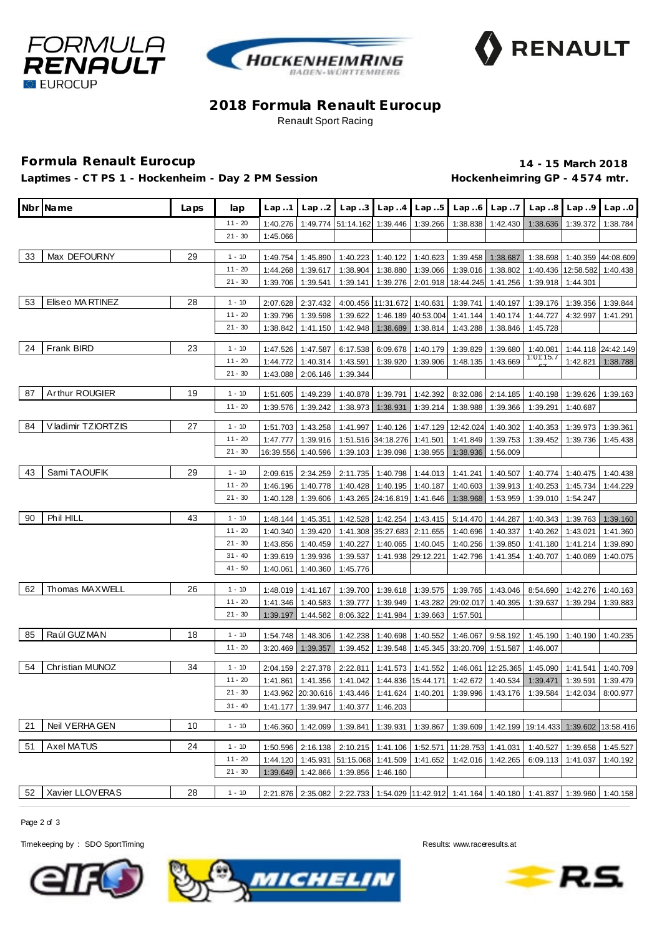





## **2018 Formula Renault Eurocup** Renault Sport Racing

## **Formula Renault Eurocup 14 - 15 March 2018**

Laptimes - CT PS 1 - Hockenheim - Day 2 PM Session **Hockenheimring GP** - 4574 mtr.

|    | Nbr Name            | Laps | lap                    | Lap.1    |                    | $\lfloor$ Lap2 $\lfloor$ Lap3 $\lfloor$ Lap4 $\lfloor$ Lap5     |                             |                                |                             | $Lap.6$ $Lap.7$    |                                                                                            | $Lap.8$   Lap9 | Lap.0              |
|----|---------------------|------|------------------------|----------|--------------------|-----------------------------------------------------------------|-----------------------------|--------------------------------|-----------------------------|--------------------|--------------------------------------------------------------------------------------------|----------------|--------------------|
|    |                     |      | $11 - 20$              | 1:40.276 |                    | 1:49.774 51:14.162 1:39.446 1:39.266                            |                             |                                | 1:38.838                    |                    | 1:42.430 1:38.636                                                                          | 1:39.372       | 1:38.784           |
|    |                     |      | $21 - 30$              | 1:45.066 |                    |                                                                 |                             |                                |                             |                    |                                                                                            |                |                    |
| 33 | Max DEFOURNY        | 29   |                        |          |                    |                                                                 |                             |                                |                             |                    |                                                                                            |                |                    |
|    |                     |      | $1 - 10$               | 1:49.754 | 1:45.890           |                                                                 | 1:40.223 1:40.122           | 1:40.623                       |                             | 1:39.458 1:38.687  | 1:38.698                                                                                   |                | 1:40.359 44:08.609 |
|    |                     |      | $11 - 20$<br>$21 - 30$ | 1:44.268 | 1:39.617           | 1:38.904                                                        | 1:38.880                    | 1:39.066                       | 1:39.016                    | 1:38.802           | 1:40.436                                                                                   | 12:58.582      | 1:40.438           |
|    |                     |      |                        | 1:39.706 | 1:39.541           | 1:39.141                                                        | 1:39.276                    |                                | 2:01.918 18:44.245          | 1:41.256           | 1:39.918                                                                                   | 1:44.301       |                    |
| 53 | Eliseo MA RTINEZ    | 28   | $1 - 10$               | 2:07.628 | 2:37.432           |                                                                 | 4:00.456 11:31.672 1:40.631 |                                | 1:39.741                    | 1:40.197           | 1:39.176                                                                                   | 1:39.356       | 1:39.844           |
|    |                     |      | $11 - 20$              | 1:39.796 | 1:39.598           | 1:39.622                                                        |                             | 1:46.189 40:53.004             | 1:41.144                    | 1:40.174           | 1:44.727                                                                                   | 4:32.997       | 1:41.291           |
|    |                     |      | $21 - 30$              | 1:38.842 | 1:41.150           | 1:42.948                                                        | 1:38.689                    | 1:38.814                       | 1:43.288                    | 1:38.846           | 1:45.728                                                                                   |                |                    |
|    | <b>Frank BIRD</b>   |      |                        |          |                    |                                                                 |                             |                                |                             |                    |                                                                                            |                |                    |
| 24 |                     | 23   | $1 - 10$               | 1:47.526 | 1:47.587           | 6:17.538                                                        | 6:09.678                    | 1:40.179                       | 1:39.829                    | 1:39.680           | 1:40.081<br>1:01:15.7                                                                      | 1:44.118       | 24:42.149          |
|    |                     |      | $11 - 20$              | 1:44.772 | 1:40.314           | 1:43.591                                                        | 1:39.920                    | 1:39.906                       | 1:48.135                    | 1:43.669           |                                                                                            | 1:42.821       | 1:38.788           |
|    |                     |      | $21 - 30$              | 1:43.088 | 2:06.146           | 1:39.344                                                        |                             |                                |                             |                    |                                                                                            |                |                    |
| 87 | Arthur ROUGIER      | 19   | $1 - 10$               | 1:51.605 | 1:49.239           | 1:40.878                                                        | 1:39.791                    | 1:42.392                       |                             | 8:32.086 2:14.185  | 1:40.198                                                                                   | 1:39.626       | 1:39.163           |
|    |                     |      | $11 - 20$              | 1:39.576 | 1:39.242           | 1:38.973                                                        | 1:38.931                    | 1:39.214                       | 1:38.988                    | 1:39.366           | 1:39.291                                                                                   | 1:40.687       |                    |
| 84 | V ladimir TZIORTZIS | 27   |                        |          |                    |                                                                 |                             |                                |                             |                    |                                                                                            |                |                    |
|    |                     |      | $1 - 10$               | 1:51.703 | 1:43.258           | 1:41.997                                                        |                             |                                | 1:40.126 1:47.129 12:42.024 | 1:40.302           | 1:40.353                                                                                   | 1:39.973       | 1:39.361           |
|    |                     |      | $11 - 20$<br>$21 - 30$ | 1:47.777 | 1:39.916           |                                                                 | 1:51.516 34:18.276 1:41.501 |                                | 1:41.849                    | 1:39.753           | 1:39.452                                                                                   | 1:39.736       | 1:45.438           |
|    |                     |      |                        |          | 16:39.556 1:40.596 | 1:39.103                                                        | 1:39.098                    | 1:38.955                       | 1:38.936                    | 1:56.009           |                                                                                            |                |                    |
| 43 | Sami TAOUFIK        | 29   | $1 - 10$               | 2:09.615 | 2:34.259           |                                                                 |                             | 2:11.735   1:40.798   1:44.013 | 1:41.241                    | 1:40.507           | 1:40.774                                                                                   | 1:40.475       | 1:40.438           |
|    |                     |      | $11 - 20$              | 1:46.196 | 1:40.778           | 1:40.428                                                        |                             | 1:40.195 1:40.187              | 1:40.603                    | 1:39.913           | 1:40.253                                                                                   | 1:45.734       | 1:44.229           |
|    |                     |      | $21 - 30$              | 1:40.128 | 1:39.606           |                                                                 | 1:43.265 24:16.819 1:41.646 |                                | 1:38.968                    | 1:53.959           | 1:39.010                                                                                   | 1:54.247       |                    |
| 90 | Phil HILL           | 43   | $1 - 10$               | 1:48.144 | 1:45.351           | 1:42.528                                                        |                             | 1:42.254 1:43.415              | 5:14.470                    | 1:44.287           | 1:40.343                                                                                   | 1:39.763       | 1:39.160           |
|    |                     |      | $11 - 20$              | 1:40.340 | 1:39.420           |                                                                 |                             | 1:41.308 35:27.683 2:11.655    | 1:40.696                    | 1:40.337           | 1:40.262                                                                                   | 1:43.021       | 1:41.360           |
|    |                     |      | $21 - 30$              | 1:43.856 | 1:40.459           | 1:40.227                                                        | 1:40.065                    | 1:40.045                       | 1:40.256                    | 1:39.850           | 1:41.180                                                                                   | 1:41.214       | 1:39.890           |
|    |                     |      | $31 - 40$              | 1:39.619 | 1:39.936           | 1:39.537                                                        |                             | 1:41.938 29:12.221             | 1:42.796                    | 1:41.354           | 1:40.707                                                                                   | 1:40.069       | 1:40.075           |
|    |                     |      | $41 - 50$              | 1:40.061 | 1:40.360           | 1:45.776                                                        |                             |                                |                             |                    |                                                                                            |                |                    |
|    |                     |      |                        |          |                    |                                                                 |                             |                                |                             |                    |                                                                                            |                |                    |
| 62 | Thomas MAXWELL      | 26   | $1 - 10$               | 1:48.019 | 1:41.167           | 1:39.700                                                        | 1:39.618                    | 1:39.575                       | 1:39.765                    | 1:43.046           | 8:54.690                                                                                   | 1:42.276       | 1:40.163           |
|    |                     |      | $11 - 20$              | 1:41.346 | 1:40.583           | 1:39.777                                                        | 1:39.949                    |                                | 1:43.282 29:02.017          | 1:40.395           | 1:39.637                                                                                   | 1:39.294       | 1:39.883           |
|    |                     |      | $21 - 30$              | 1:39.197 | 1:44.582           | 8:06.322                                                        | 1:41.984                    | 1:39.663                       | 1:57.501                    |                    |                                                                                            |                |                    |
| 85 | Raúl GUZ MAN        | 18   | $1 - 10$               | 1:54.748 | 1:48.306           | 1:42.238                                                        | 1:40.698                    | 1:40.552                       | 1:46.067                    | 9:58.192           | 1:45.190                                                                                   | 1:40.190       | 1:40.235           |
|    |                     |      | $11 - 20$              | 3:20.469 | 1:39.357           | 1:39.452                                                        | 1:39.548                    |                                | 1:45.345 33:20.709          | 1:51.587           | 1:46.007                                                                                   |                |                    |
|    |                     |      |                        |          |                    |                                                                 |                             |                                |                             |                    |                                                                                            |                |                    |
| 54 | Christian MUNOZ     | 34   | $1 - 10$               | 2:04.159 | 2:27.378           | 2:22.811                                                        | 1:41.573                    | 1:41.552                       |                             | 1:46.061 12:25.365 | 1:45.090                                                                                   | 1:41.541       | 1:40.709           |
|    |                     |      | $11 - 20$              | 1:41.861 | 1:41.356           |                                                                 |                             | 1:41.042 1:44.836 15:44.171    | 1:42.672                    |                    | 1:40.534 1:39.471                                                                          | 1:39.591       | 1:39.479           |
|    |                     |      | $21 - 30$              |          |                    |                                                                 |                             |                                |                             |                    | 1:43.962 20:30.616 1:43.446 1:41.624 1:40.201 1:39.996 1:43.176 1:39.584 1:42.034 8:00.977 |                |                    |
|    |                     |      | $31 - 40$              |          | 1:41.177 1:39.947  | 1:40.377                                                        | 1:46.203                    |                                |                             |                    |                                                                                            |                |                    |
| 21 | Neil VERHA GEN      | 10   | $1 - 10$               |          | 1:46.360 1:42.099  | 1:39.841                                                        |                             | 1:39.931 1:39.867              |                             |                    | 1:39.609 1:42.199 19:14.433 1:39.602 13:58.416                                             |                |                    |
|    |                     |      |                        |          |                    |                                                                 |                             |                                |                             |                    |                                                                                            |                |                    |
| 51 | Axel MATUS          | 24   | $1 - 10$               |          |                    | 1:50.596 2:16.138 2:10.215 1:41.106 1:52.571 11:28.753 1:41.031 |                             |                                |                             |                    | 1:40.527 1:39.658                                                                          |                | 1:45.527           |
|    |                     |      | $11 - 20$              | 1:44.120 | 1:45.931           | 51:15.068 1:41.509 1:41.652                                     |                             |                                |                             | 1:42.016 1:42.265  | 6:09.113                                                                                   | 1:41.037       | 1:40.192           |
|    |                     |      | $21 - 30$              | 1:39.649 | 1:42.866           |                                                                 | 1:39.856 1:46.160           |                                |                             |                    |                                                                                            |                |                    |
| 52 | Xavier LLOVERAS     | 28   | $1 - 10$               |          |                    |                                                                 |                             |                                |                             |                    | 2:21.876 2:35.082 2:22.733 1:54.029 11:42.912 1:41.164 1:40.180 1:41.837 1:39.960 1:40.158 |                |                    |
|    |                     |      |                        |          |                    |                                                                 |                             |                                |                             |                    |                                                                                            |                |                    |

Page 2 of 3

Timekeeping by : SDO SportTiming Results: www.raceresults.at